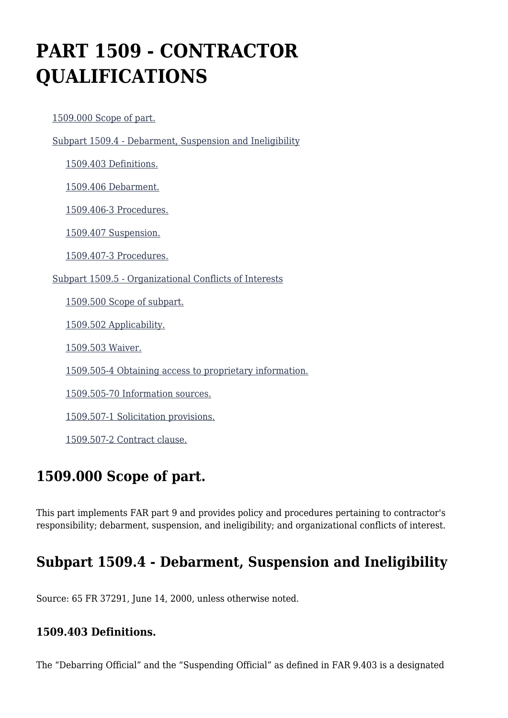# **PART 1509 - CONTRACTOR QUALIFICATIONS**

[1509.000 Scope of part.](https://origin-www.acquisition.gov/%5Brp:link:epaar-part-1509%5D#Section_1509_000_T48_60129011)

[Subpart 1509.4 - Debarment, Suspension and Ineligibility](https://origin-www.acquisition.gov/%5Brp:link:epaar-part-1509%5D#Subpart_1509_4_T48_601291)

[1509.403 Definitions.](https://origin-www.acquisition.gov/%5Brp:link:epaar-part-1509%5D#Section_1509_403_T48_60129111)

[1509.406 Debarment.](https://origin-www.acquisition.gov/%5Brp:link:epaar-part-1509%5D#Section_1509_406_T48_60129112)

[1509.406-3 Procedures.](https://origin-www.acquisition.gov/%5Brp:link:epaar-part-1509%5D#Section_1509_406_3_T48_60129113)

[1509.407 Suspension.](https://origin-www.acquisition.gov/%5Brp:link:epaar-part-1509%5D#Section_1509_407_T48_60129114)

[1509.407-3 Procedures.](https://origin-www.acquisition.gov/%5Brp:link:epaar-part-1509%5D#Section_1509_407_3_T48_60129115)

[Subpart 1509.5 - Organizational Conflicts of Interests](https://origin-www.acquisition.gov/%5Brp:link:epaar-part-1509%5D#Subpart_1509_5_T48_601292)

[1509.500 Scope of subpart.](https://origin-www.acquisition.gov/%5Brp:link:epaar-part-1509%5D#Section_1509_500_T48_60129211)

[1509.502 Applicability.](https://origin-www.acquisition.gov/%5Brp:link:epaar-part-1509%5D#Section_1509_502_T48_60129212)

[1509.503 Waiver.](https://origin-www.acquisition.gov/%5Brp:link:epaar-part-1509%5D#Section_1509_503_T48_60129213)

[1509.505-4 Obtaining access to proprietary information.](https://origin-www.acquisition.gov/%5Brp:link:epaar-part-1509%5D#Section_1509_505_4_T48_60129214)

[1509.505-70 Information sources.](https://origin-www.acquisition.gov/%5Brp:link:epaar-part-1509%5D#Section_1509_505_70_T48_60129215)

[1509.507-1 Solicitation provisions.](https://origin-www.acquisition.gov/%5Brp:link:epaar-part-1509%5D#Section_1509_507_1_T48_60129216)

[1509.507-2 Contract clause.](https://origin-www.acquisition.gov/%5Brp:link:epaar-part-1509%5D#Section_1509_507_2_T48_60129217)

# **1509.000 Scope of part.**

This part implements FAR part 9 and provides policy and procedures pertaining to contractor's responsibility; debarment, suspension, and ineligibility; and organizational conflicts of interest.

# **Subpart 1509.4 - Debarment, Suspension and Ineligibility**

Source: 65 FR 37291, June 14, 2000, unless otherwise noted.

### **1509.403 Definitions.**

The "Debarring Official" and the "Suspending Official" as defined in FAR 9.403 is a designated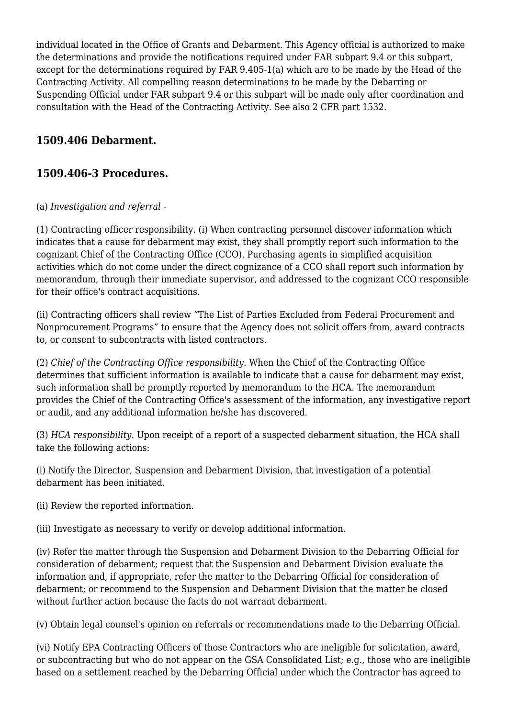individual located in the Office of Grants and Debarment. This Agency official is authorized to make the determinations and provide the notifications required under FAR subpart 9.4 or this subpart, except for the determinations required by FAR 9.405-1(a) which are to be made by the Head of the Contracting Activity. All compelling reason determinations to be made by the Debarring or Suspending Official under FAR subpart 9.4 or this subpart will be made only after coordination and consultation with the Head of the Contracting Activity. See also 2 CFR part 1532.

### **1509.406 Debarment.**

### **1509.406-3 Procedures.**

#### (a) *Investigation and referral* -

(1) Contracting officer responsibility. (i) When contracting personnel discover information which indicates that a cause for debarment may exist, they shall promptly report such information to the cognizant Chief of the Contracting Office (CCO). Purchasing agents in simplified acquisition activities which do not come under the direct cognizance of a CCO shall report such information by memorandum, through their immediate supervisor, and addressed to the cognizant CCO responsible for their office's contract acquisitions.

(ii) Contracting officers shall review "The List of Parties Excluded from Federal Procurement and Nonprocurement Programs" to ensure that the Agency does not solicit offers from, award contracts to, or consent to subcontracts with listed contractors.

(2) *Chief of the Contracting Office responsibility.* When the Chief of the Contracting Office determines that sufficient information is available to indicate that a cause for debarment may exist, such information shall be promptly reported by memorandum to the HCA. The memorandum provides the Chief of the Contracting Office's assessment of the information, any investigative report or audit, and any additional information he/she has discovered.

(3) *HCA responsibility.* Upon receipt of a report of a suspected debarment situation, the HCA shall take the following actions:

(i) Notify the Director, Suspension and Debarment Division, that investigation of a potential debarment has been initiated.

(ii) Review the reported information.

(iii) Investigate as necessary to verify or develop additional information.

(iv) Refer the matter through the Suspension and Debarment Division to the Debarring Official for consideration of debarment; request that the Suspension and Debarment Division evaluate the information and, if appropriate, refer the matter to the Debarring Official for consideration of debarment; or recommend to the Suspension and Debarment Division that the matter be closed without further action because the facts do not warrant debarment.

(v) Obtain legal counsel's opinion on referrals or recommendations made to the Debarring Official.

(vi) Notify EPA Contracting Officers of those Contractors who are ineligible for solicitation, award, or subcontracting but who do not appear on the GSA Consolidated List; e.g., those who are ineligible based on a settlement reached by the Debarring Official under which the Contractor has agreed to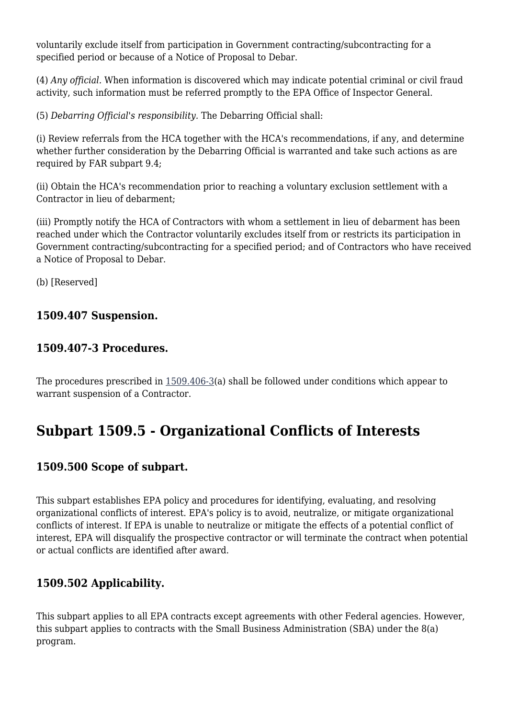voluntarily exclude itself from participation in Government contracting/subcontracting for a specified period or because of a Notice of Proposal to Debar.

(4) *Any official.* When information is discovered which may indicate potential criminal or civil fraud activity, such information must be referred promptly to the EPA Office of Inspector General.

(5) *Debarring Official's responsibility.* The Debarring Official shall:

(i) Review referrals from the HCA together with the HCA's recommendations, if any, and determine whether further consideration by the Debarring Official is warranted and take such actions as are required by FAR subpart 9.4;

(ii) Obtain the HCA's recommendation prior to reaching a voluntary exclusion settlement with a Contractor in lieu of debarment;

(iii) Promptly notify the HCA of Contractors with whom a settlement in lieu of debarment has been reached under which the Contractor voluntarily excludes itself from or restricts its participation in Government contracting/subcontracting for a specified period; and of Contractors who have received a Notice of Proposal to Debar.

(b) [Reserved]

### **1509.407 Suspension.**

### **1509.407-3 Procedures.**

The procedures prescribed in  $1509.406-3$ (a) shall be followed under conditions which appear to warrant suspension of a Contractor.

# **Subpart 1509.5 - Organizational Conflicts of Interests**

### **1509.500 Scope of subpart.**

This subpart establishes EPA policy and procedures for identifying, evaluating, and resolving organizational conflicts of interest. EPA's policy is to avoid, neutralize, or mitigate organizational conflicts of interest. If EPA is unable to neutralize or mitigate the effects of a potential conflict of interest, EPA will disqualify the prospective contractor or will terminate the contract when potential or actual conflicts are identified after award.

### **1509.502 Applicability.**

This subpart applies to all EPA contracts except agreements with other Federal agencies. However, this subpart applies to contracts with the Small Business Administration (SBA) under the 8(a) program.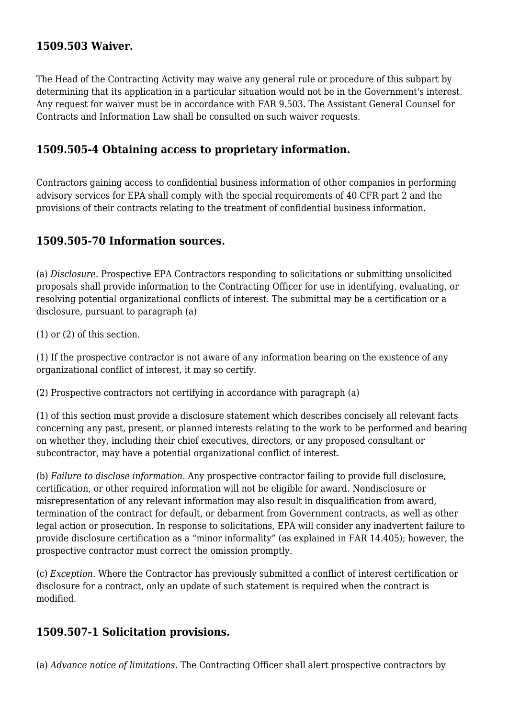### **1509.503 Waiver.**

The Head of the Contracting Activity may waive any general rule or procedure of this subpart by determining that its application in a particular situation would not be in the Government's interest. Any request for waiver must be in accordance with FAR 9.503. The Assistant General Counsel for Contracts and Information Law shall be consulted on such waiver requests.

### **1509.505-4 Obtaining access to proprietary information.**

Contractors gaining access to confidential business information of other companies in performing advisory services for EPA shall comply with the special requirements of 40 CFR part 2 and the provisions of their contracts relating to the treatment of confidential business information.

#### **1509.505-70 Information sources.**

(a) *Disclosure.* Prospective EPA Contractors responding to solicitations or submitting unsolicited proposals shall provide information to the Contracting Officer for use in identifying, evaluating, or resolving potential organizational conflicts of interest. The submittal may be a certification or a disclosure, pursuant to paragraph (a)

(1) or (2) of this section.

(1) If the prospective contractor is not aware of any information bearing on the existence of any organizational conflict of interest, it may so certify.

(2) Prospective contractors not certifying in accordance with paragraph (a)

(1) of this section must provide a disclosure statement which describes concisely all relevant facts concerning any past, present, or planned interests relating to the work to be performed and bearing on whether they, including their chief executives, directors, or any proposed consultant or subcontractor, may have a potential organizational conflict of interest.

(b) *Failure to disclose information.* Any prospective contractor failing to provide full disclosure, certification, or other required information will not be eligible for award. Nondisclosure or misrepresentation of any relevant information may also result in disqualification from award, termination of the contract for default, or debarment from Government contracts, as well as other legal action or prosecution. In response to solicitations, EPA will consider any inadvertent failure to provide disclosure certification as a "minor informality" (as explained in FAR 14.405); however, the prospective contractor must correct the omission promptly.

(c) *Exception.* Where the Contractor has previously submitted a conflict of interest certification or disclosure for a contract, only an update of such statement is required when the contract is modified.

#### **1509.507-1 Solicitation provisions.**

(a) *Advance notice of limitations.* The Contracting Officer shall alert prospective contractors by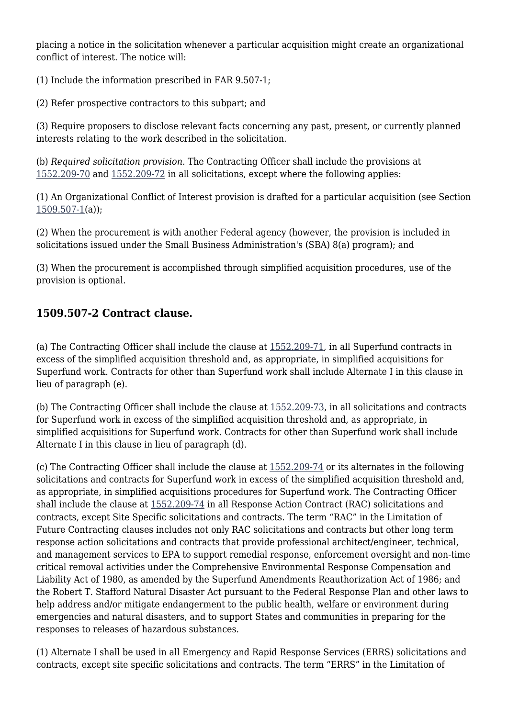placing a notice in the solicitation whenever a particular acquisition might create an organizational conflict of interest. The notice will:

(1) Include the information prescribed in FAR 9.507-1;

(2) Refer prospective contractors to this subpart; and

(3) Require proposers to disclose relevant facts concerning any past, present, or currently planned interests relating to the work described in the solicitation.

(b) *Required solicitation provision.* The Contracting Officer shall include the provisions at [1552.209-70](https://origin-www.acquisition.gov/%5Brp:link:epaar-part-1552%5D#Section_1552_209_70_T48_601837115) and [1552.209-72](https://origin-www.acquisition.gov/%5Brp:link:epaar-part-1552%5D#Section_1552_209_72_T48_601837117) in all solicitations, except where the following applies:

(1) An Organizational Conflict of Interest provision is drafted for a particular acquisition (see Section  $1509.507 - 1(a)$ ;

(2) When the procurement is with another Federal agency (however, the provision is included in solicitations issued under the Small Business Administration's (SBA) 8(a) program); and

(3) When the procurement is accomplished through simplified acquisition procedures, use of the provision is optional.

### **1509.507-2 Contract clause.**

(a) The Contracting Officer shall include the clause at [1552.209-71,](https://origin-www.acquisition.gov/%5Brp:link:epaar-part-1552%5D#Section_1552_209_71_T48_601837116) in all Superfund contracts in excess of the simplified acquisition threshold and, as appropriate, in simplified acquisitions for Superfund work. Contracts for other than Superfund work shall include Alternate I in this clause in lieu of paragraph (e).

(b) The Contracting Officer shall include the clause at [1552.209-73,](https://origin-www.acquisition.gov/%5Brp:link:epaar-part-1552%5D#Section_1552_209_73_T48_601837118) in all solicitations and contracts for Superfund work in excess of the simplified acquisition threshold and, as appropriate, in simplified acquisitions for Superfund work. Contracts for other than Superfund work shall include Alternate I in this clause in lieu of paragraph (d).

(c) The Contracting Officer shall include the clause at [1552.209-74](https://origin-www.acquisition.gov/%5Brp:link:epaar-part-1552%5D#Section_1552_209_74_T48_601837119) or its alternates in the following solicitations and contracts for Superfund work in excess of the simplified acquisition threshold and, as appropriate, in simplified acquisitions procedures for Superfund work. The Contracting Officer shall include the clause at [1552.209-74](https://origin-www.acquisition.gov/%5Brp:link:epaar-part-1552%5D#Section_1552_209_74_T48_601837119) in all Response Action Contract (RAC) solicitations and contracts, except Site Specific solicitations and contracts. The term "RAC" in the Limitation of Future Contracting clauses includes not only RAC solicitations and contracts but other long term response action solicitations and contracts that provide professional architect/engineer, technical, and management services to EPA to support remedial response, enforcement oversight and non-time critical removal activities under the Comprehensive Environmental Response Compensation and Liability Act of 1980, as amended by the Superfund Amendments Reauthorization Act of 1986; and the Robert T. Stafford Natural Disaster Act pursuant to the Federal Response Plan and other laws to help address and/or mitigate endangerment to the public health, welfare or environment during emergencies and natural disasters, and to support States and communities in preparing for the responses to releases of hazardous substances.

(1) Alternate I shall be used in all Emergency and Rapid Response Services (ERRS) solicitations and contracts, except site specific solicitations and contracts. The term "ERRS" in the Limitation of